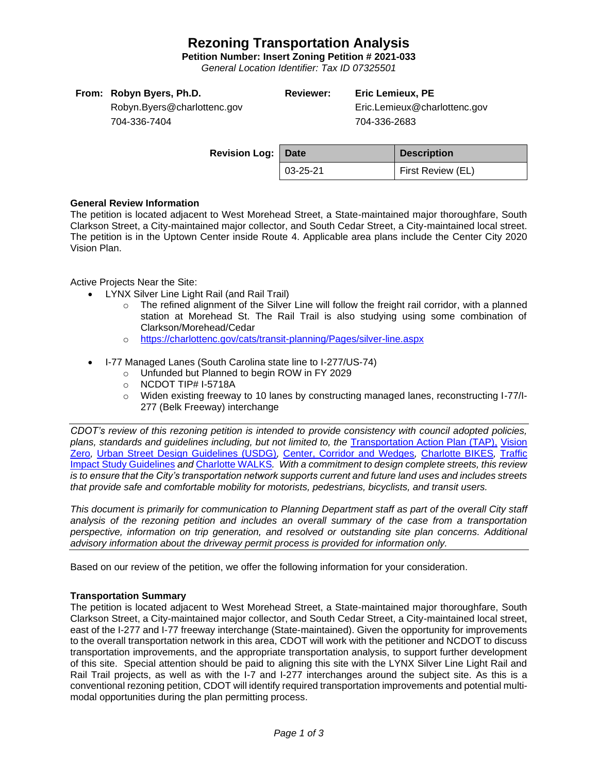## **Rezoning Transportation Analysis**

**Petition Number: Insert Zoning Petition # 2021-033**

*General Location Identifier: Tax ID 07325501*

## **Reviewer: Eric Lemieux, PE** Eric.Lemieux@charlottenc.gov

Robyn.Byers@charlottenc.gov 704-336-7404

704-336-2683

| <b>Revision Log: Date</b> |                | <b>Description</b> |  |
|---------------------------|----------------|--------------------|--|
|                           | $03 - 25 - 21$ | First Review (EL)  |  |

### **General Review Information**

The petition is located adjacent to West Morehead Street, a State-maintained major thoroughfare, South Clarkson Street, a City-maintained major collector, and South Cedar Street, a City-maintained local street. The petition is in the Uptown Center inside Route 4. Applicable area plans include the Center City 2020 Vision Plan.

Active Projects Near the Site:

- LYNX Silver Line Light Rail (and Rail Trail)
	- $\circ$  The refined alignment of the Silver Line will follow the freight rail corridor, with a planned station at Morehead St. The Rail Trail is also studying using some combination of Clarkson/Morehead/Cedar
	- o <https://charlottenc.gov/cats/transit-planning/Pages/silver-line.aspx>
- I-77 Managed Lanes (South Carolina state line to I-277/US-74)
	- o Unfunded but Planned to begin ROW in FY 2029
	- o NCDOT TIP# I-5718A
	- o Widen existing freeway to 10 lanes by constructing managed lanes, reconstructing I-77/I-277 (Belk Freeway) interchange

*CDOT's review of this rezoning petition is intended to provide consistency with council adopted policies, plans, standards and guidelines including, but not limited to, the* [Transportation Action Plan \(TAP\),](https://charlottenc.gov/Transportation/Programs/Pages/TransportationActionPlan.aspx) [Vision](https://charlottenc.gov/VisionZero/Pages/VisionZero.aspx)  [Zero](https://charlottenc.gov/VisionZero/Pages/VisionZero.aspx)*,* [Urban Street Design Guidelines \(USDG\)](https://charlottenc.gov/Transportation/PlansProjects/Documents/USDG%20Full%20Document.pdf)*,* [Center, Corridor and Wedges](http://ww.charmeck.org/Planning/Land%20Use%20Planning/CentersCorridorsWedges/CentersCorridorsWedges(Adopted).pdf)*,* [Charlotte BIKES](https://charlottenc.gov/Transportation/Programs/Pages/Bicycle.aspx)*,* [Traffic](https://charlottenc.gov/Transportation/Permits/Documents/TISProcessandGuildlines.pdf)  [Impact Study Guidelines](https://charlottenc.gov/Transportation/Permits/Documents/TISProcessandGuildlines.pdf) *and* [Charlotte WALKS](https://charlottenc.gov/Transportation/Programs/Pages/CharlotteWalks.aspx)*. With a commitment to design complete streets, this review is to ensure that the City's transportation network supports current and future land uses and includes streets that provide safe and comfortable mobility for motorists, pedestrians, bicyclists, and transit users.*

*This document is primarily for communication to Planning Department staff as part of the overall City staff analysis of the rezoning petition and includes an overall summary of the case from a transportation perspective, information on trip generation, and resolved or outstanding site plan concerns. Additional advisory information about the driveway permit process is provided for information only.*

Based on our review of the petition, we offer the following information for your consideration.

### **Transportation Summary**

The petition is located adjacent to West Morehead Street, a State-maintained major thoroughfare, South Clarkson Street, a City-maintained major collector, and South Cedar Street, a City-maintained local street, east of the I-277 and I-77 freeway interchange (State-maintained). Given the opportunity for improvements to the overall transportation network in this area, CDOT will work with the petitioner and NCDOT to discuss transportation improvements, and the appropriate transportation analysis, to support further development of this site. Special attention should be paid to aligning this site with the LYNX Silver Line Light Rail and Rail Trail projects, as well as with the I-7 and I-277 interchanges around the subject site. As this is a conventional rezoning petition, CDOT will identify required transportation improvements and potential multimodal opportunities during the plan permitting process.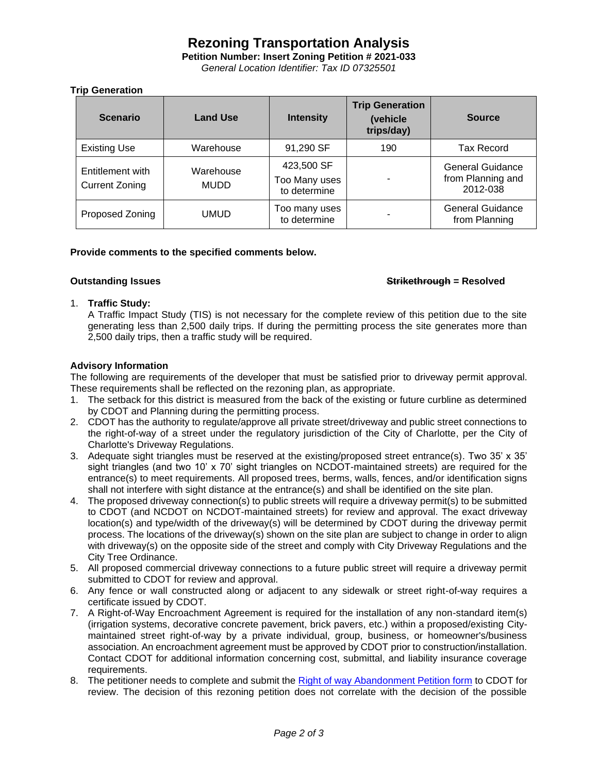# **Rezoning Transportation Analysis**

**Petition Number: Insert Zoning Petition # 2021-033**

*General Location Identifier: Tax ID 07325501*

### **Trip Generation**

| <b>Scenario</b>                           | <b>Land Use</b>          | <b>Intensity</b>                            | <b>Trip Generation</b><br>(vehicle<br>trips/day) | <b>Source</b>                                            |
|-------------------------------------------|--------------------------|---------------------------------------------|--------------------------------------------------|----------------------------------------------------------|
| <b>Existing Use</b>                       | Warehouse                | 91,290 SF                                   | 190                                              | <b>Tax Record</b>                                        |
| Entitlement with<br><b>Current Zoning</b> | Warehouse<br><b>MUDD</b> | 423,500 SF<br>Too Many uses<br>to determine |                                                  | <b>General Guidance</b><br>from Planning and<br>2012-038 |
| Proposed Zoning                           | UMUD                     | Too many uses<br>to determine               |                                                  | <b>General Guidance</b><br>from Planning                 |

### **Provide comments to the specified comments below.**

#### **Outstanding Issues Strikethrough = Resolved**

#### 1. **Traffic Study:**

A Traffic Impact Study (TIS) is not necessary for the complete review of this petition due to the site generating less than 2,500 daily trips. If during the permitting process the site generates more than 2,500 daily trips, then a traffic study will be required.

### **Advisory Information**

The following are requirements of the developer that must be satisfied prior to driveway permit approval. These requirements shall be reflected on the rezoning plan, as appropriate.

- 1. The setback for this district is measured from the back of the existing or future curbline as determined by CDOT and Planning during the permitting process.
- 2. CDOT has the authority to regulate/approve all private street/driveway and public street connections to the right-of-way of a street under the regulatory jurisdiction of the City of Charlotte, per the City of Charlotte's Driveway Regulations.
- 3. Adequate sight triangles must be reserved at the existing/proposed street entrance(s). Two 35' x 35' sight triangles (and two 10' x 70' sight triangles on NCDOT-maintained streets) are required for the entrance(s) to meet requirements. All proposed trees, berms, walls, fences, and/or identification signs shall not interfere with sight distance at the entrance(s) and shall be identified on the site plan.
- 4. The proposed driveway connection(s) to public streets will require a driveway permit(s) to be submitted to CDOT (and NCDOT on NCDOT-maintained streets) for review and approval. The exact driveway location(s) and type/width of the driveway(s) will be determined by CDOT during the driveway permit process. The locations of the driveway(s) shown on the site plan are subject to change in order to align with driveway(s) on the opposite side of the street and comply with City Driveway Regulations and the City Tree Ordinance.
- 5. All proposed commercial driveway connections to a future public street will require a driveway permit submitted to CDOT for review and approval.
- 6. Any fence or wall constructed along or adjacent to any sidewalk or street right-of-way requires a certificate issued by CDOT.
- 7. A Right-of-Way Encroachment Agreement is required for the installation of any non-standard item(s) (irrigation systems, decorative concrete pavement, brick pavers, etc.) within a proposed/existing Citymaintained street right-of-way by a private individual, group, business, or homeowner's/business association. An encroachment agreement must be approved by CDOT prior to construction/installation. Contact CDOT for additional information concerning cost, submittal, and liability insurance coverage requirements.
- 8. The petitioner needs to complete and submit the [Right of way Abandonment Petition form](https://charlottenc.gov/Transportation/Permits/Pages/RightofWayAbandonment.aspx) to CDOT for review. The decision of this rezoning petition does not correlate with the decision of the possible